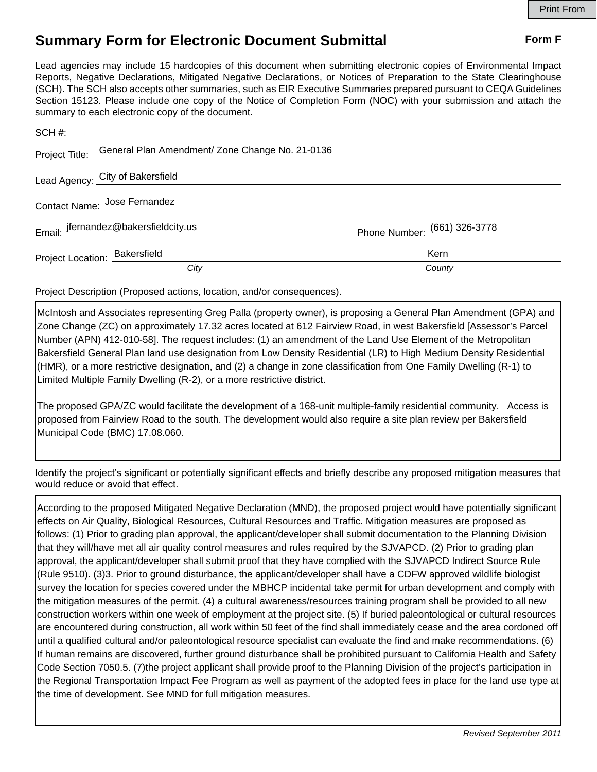## **Summary Form for Electronic Document Submittal Form F Form F**

Lead agencies may include 15 hardcopies of this document when submitting electronic copies of Environmental Impact Reports, Negative Declarations, Mitigated Negative Declarations, or Notices of Preparation to the State Clearinghouse (SCH). The SCH also accepts other summaries, such as EIR Executive Summaries prepared pursuant to CEQA Guidelines Section 15123. Please include one copy of the Notice of Completion Form (NOC) with your submission and attach the summary to each electronic copy of the document.

|                               | Project Title: General Plan Amendment/ Zone Change No. 21-0136 |                              |
|-------------------------------|----------------------------------------------------------------|------------------------------|
|                               | Lead Agency: City of Bakersfield                               |                              |
| Contact Name: Jose Fernandez  |                                                                |                              |
|                               | Email: jfernandez@bakersfieldcity.us                           | Phone Number: (661) 326-3778 |
| Project Location: Bakersfield |                                                                | Kern                         |
|                               | City                                                           | County                       |

Project Description (Proposed actions, location, and/or consequences).

McIntosh and Associates representing Greg Palla (property owner), is proposing a General Plan Amendment (GPA) and Zone Change (ZC) on approximately 17.32 acres located at 612 Fairview Road, in west Bakersfield [Assessor's Parcel Number (APN) 412-010-58]. The request includes: (1) an amendment of the Land Use Element of the Metropolitan Bakersfield General Plan land use designation from Low Density Residential (LR) to High Medium Density Residential (HMR), or a more restrictive designation, and (2) a change in zone classification from One Family Dwelling (R-1) to Limited Multiple Family Dwelling (R-2), or a more restrictive district.

The proposed GPA/ZC would facilitate the development of a 168-unit multiple-family residential community. Access is proposed from Fairview Road to the south. The development would also require a site plan review per Bakersfield Municipal Code (BMC) 17.08.060.

Identify the project's significant or potentially significant effects and briefly describe any proposed mitigation measures that would reduce or avoid that effect.

According to the proposed Mitigated Negative Declaration (MND), the proposed project would have potentially significant effects on Air Quality, Biological Resources, Cultural Resources and Traffic. Mitigation measures are proposed as follows: (1) Prior to grading plan approval, the applicant/developer shall submit documentation to the Planning Division that they will/have met all air quality control measures and rules required by the SJVAPCD. (2) Prior to grading plan approval, the applicant/developer shall submit proof that they have complied with the SJVAPCD Indirect Source Rule (Rule 9510). (3)3. Prior to ground disturbance, the applicant/developer shall have a CDFW approved wildlife biologist survey the location for species covered under the MBHCP incidental take permit for urban development and comply with the mitigation measures of the permit. (4) a cultural awareness/resources training program shall be provided to all new construction workers within one week of employment at the project site. (5) If buried paleontological or cultural resources are encountered during construction, all work within 50 feet of the find shall immediately cease and the area cordoned off until a qualified cultural and/or paleontological resource specialist can evaluate the find and make recommendations. (6) If human remains are discovered, further ground disturbance shall be prohibited pursuant to California Health and Safety Code Section 7050.5. (7)the project applicant shall provide proof to the Planning Division of the project's participation in the Regional Transportation Impact Fee Program as well as payment of the adopted fees in place for the land use type at the time of development. See MND for full mitigation measures.